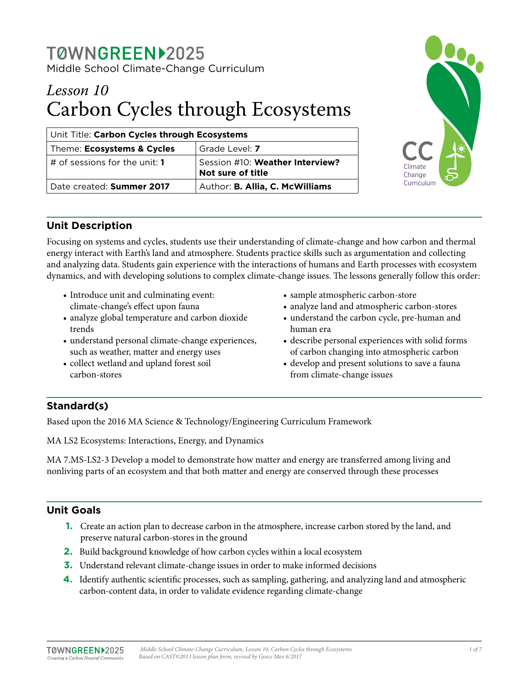# TØWNGREEN12025 Middle School Climate-Change Curriculum

# *Lesson 10* Carbon Cycles through Ecosystems

| Unit Title: Carbon Cycles through Ecosystems |                                                      |
|----------------------------------------------|------------------------------------------------------|
| Theme: Ecosystems & Cycles                   | Grade Level: 7                                       |
| $\vert$ # of sessions for the unit: <b>1</b> | Session #10: Weather Interview?<br>Not sure of title |
| Date created: Summer 2017                    | Author: B. Allia, C. McWilliams                      |



## **Unit Description**

Focusing on systems and cycles, students use their understanding of climate-change and how carbon and thermal energy interact with Earth's land and atmosphere. Students practice skills such as argumentation and collecting and analyzing data. Students gain experience with the interactions of humans and Earth processes with ecosystem dynamics, and with developing solutions to complex climate-change issues. The lessons generally follow this order:

- Introduce unit and culminating event: climate-change's effect upon fauna
- analyze global temperature and carbon dioxide trends
- understand personal climate-change experiences, such as weather, matter and energy uses
- collect wetland and upland forest soil carbon-stores
- sample atmospheric carbon-store
- analyze land and atmospheric carbon-stores
- understand the carbon cycle, pre-human and human era
- describe personal experiences with solid forms of carbon changing into atmospheric carbon
- develop and present solutions to save a fauna from climate-change issues

## **Standard(s)**

Based upon the 2016 MA Science & Technology/Engineering Curriculum Framework

MA LS2 Ecosystems: Interactions, Energy, and Dynamics

MA 7.MS-LS2-3 Develop a model to demonstrate how matter and energy are transferred among living and nonliving parts of an ecosystem and that both matter and energy are conserved through these processes

## **Unit Goals**

- **1.** Create an action plan to decrease carbon in the atmosphere, increase carbon stored by the land, and preserve natural carbon-stores in the ground
- **2.** Build background knowledge of how carbon cycles within a local ecosystem
- **3.** Understand relevant climate-change issues in order to make informed decisions
- **4.** Identify authentic scientific processes, such as sampling, gathering, and analyzing land and atmospheric carbon-content data, in order to validate evidence regarding climate-change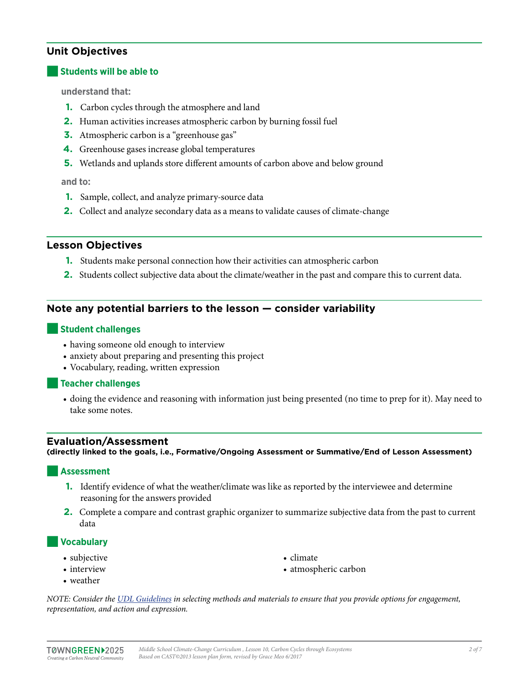### **Unit Objectives**

#### **Students will be able to**

**understand that:** 

- **1.** Carbon cycles through the atmosphere and land
- **2.** Human activities increases atmospheric carbon by burning fossil fuel
- **3.** Atmospheric carbon is a "greenhouse gas"
- **4.** Greenhouse gases increase global temperatures
- **5.** Wetlands and uplands store different amounts of carbon above and below ground

#### **and to:**

- **1.** Sample, collect, and analyze primary-source data
- **2.** Collect and analyze secondary data as a means to validate causes of climate-change

#### **Lesson Objectives**

- **1.** Students make personal connection how their activities can atmospheric carbon
- **2.** Students collect subjective data about the climate/weather in the past and compare this to current data.

#### **Note any potential barriers to the lesson — consider variability**

#### ■**Student challenges**

- having someone old enough to interview
- anxiety about preparing and presenting this project
- Vocabulary, reading, written expression

#### ■**Teacher challenges**

• doing the evidence and reasoning with information just being presented (no time to prep for it). May need to take some notes.

#### **Evaluation/Assessment**

**(directly linked to the goals, i.e., Formative/Ongoing Assessment or Summative/End of Lesson Assessment)**

#### ■**Assessment**

- **1.** Identify evidence of what the weather/climate was like as reported by the interviewee and determine reasoning for the answers provided
- **2.** Complete a compare and contrast graphic organizer to summarize subjective data from the past to current data

#### ■**Vocabulary**

- subjective
- interview
- weather
- climate
- atmospheric carbon

*NOTE: Consider the [UDL Guidelines](http://bit.ly/1d5bjtS) in selecting methods and materials to ensure that you provide options for engagement, representation, and action and expression.*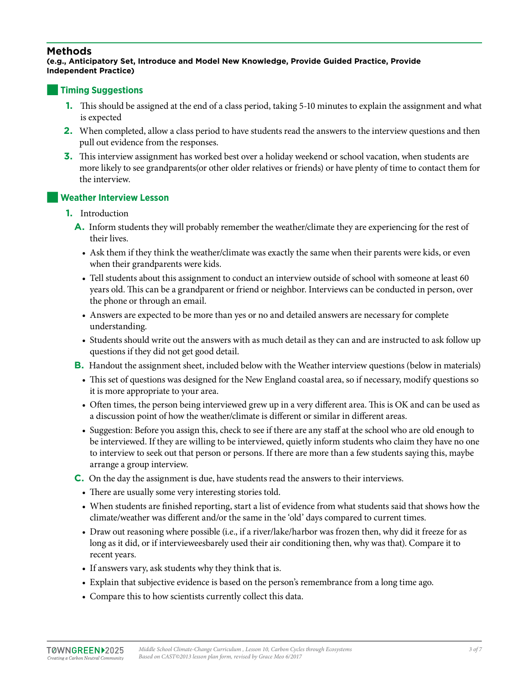#### **Methods**

#### **(e.g., Anticipatory Set, Introduce and Model New Knowledge, Provide Guided Practice, Provide Independent Practice)**

#### ■**Timing Suggestions**

- **1.** This should be assigned at the end of a class period, taking 5-10 minutes to explain the assignment and what is expected
- **2.** When completed, allow a class period to have students read the answers to the interview questions and then pull out evidence from the responses.
- **3.** This interview assignment has worked best over a holiday weekend or school vacation, when students are more likely to see grandparents(or other older relatives or friends) or have plenty of time to contact them for the interview.

#### **Weather Interview Lesson**

- **1.** Introduction
	- **A.** Inform students they will probably remember the weather/climate they are experiencing for the rest of their lives.
		- Ask them if they think the weather/climate was exactly the same when their parents were kids, or even when their grandparents were kids.
		- Tell students about this assignment to conduct an interview outside of school with someone at least 60 years old. This can be a grandparent or friend or neighbor. Interviews can be conducted in person, over the phone or through an email.
		- Answers are expected to be more than yes or no and detailed answers are necessary for complete understanding.
		- Students should write out the answers with as much detail as they can and are instructed to ask follow up questions if they did not get good detail.
	- **B.** Handout the assignment sheet, included below with the Weather interview questions (below in materials)
		- This set of questions was designed for the New England coastal area, so if necessary, modify questions so it is more appropriate to your area.
		- Often times, the person being interviewed grew up in a very different area. This is OK and can be used as a discussion point of how the weather/climate is different or similar in different areas.
		- Suggestion: Before you assign this, check to see if there are any staff at the school who are old enough to be interviewed. If they are willing to be interviewed, quietly inform students who claim they have no one to interview to seek out that person or persons. If there are more than a few students saying this, maybe arrange a group interview.
	- **C.** On the day the assignment is due, have students read the answers to their interviews.
		- There are usually some very interesting stories told.
		- When students are finished reporting, start a list of evidence from what students said that shows how the climate/weather was different and/or the same in the 'old' days compared to current times.
		- Draw out reasoning where possible (i.e., if a river/lake/harbor was frozen then, why did it freeze for as long as it did, or if intervieweesbarely used their air conditioning then, why was that). Compare it to recent years.
		- If answers vary, ask students why they think that is.
		- Explain that subjective evidence is based on the person's remembrance from a long time ago.
		- Compare this to how scientists currently collect this data.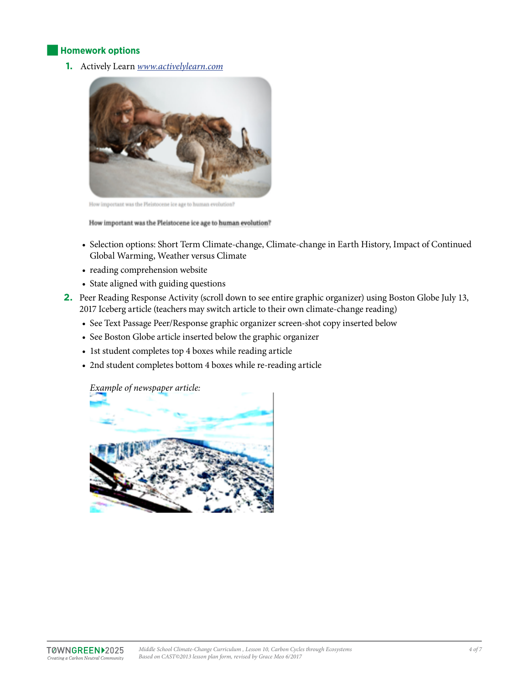#### ■**Homework options**

**1.** Actively Learn *[www.activelylearn.com](http://www.activelylearn.com)*



How important was the Pleistocene ice age to human evolution?

#### How important was the Pleistocene ice age to human evolution?

- Selection options: Short Term Climate-change, Climate-change in Earth History, Impact of Continued Global Warming, Weather versus Climate
- reading comprehension website
- State aligned with guiding questions
- **2.** Peer Reading Response Activity (scroll down to see entire graphic organizer) using Boston Globe July 13, 2017 Iceberg article (teachers may switch article to their own climate-change reading)
	- See Text Passage Peer/Response graphic organizer screen-shot copy inserted below
	- See Boston Globe article inserted below the graphic organizer
	- 1st student completes top 4 boxes while reading article
	- 2nd student completes bottom 4 boxes while re-reading article

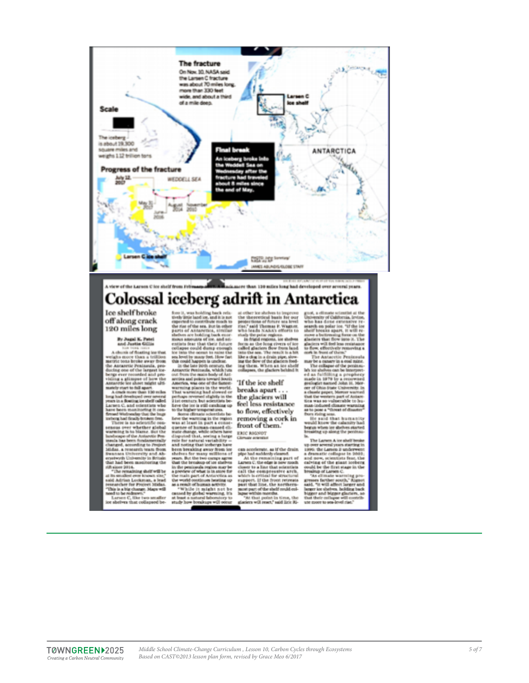

#### A view of the Larsen C lee shelf from Februar than 150 miles long had developed over acveral years Colossal iceberg adrift in Antarctica

Ice shelf broke off along crack 120 miles long

120 miles long<br> *by Nagal* K. Patel<br>
sayde and the Gallis<br>
say and the Gallis<br>
say and the San Hallis<br>
verigh a core than a trillion<br>
were the say and the same of the largest<br>
the same of the largest loc-<br>
declare and the viding a glimpse of how the<br>Antarctic lee short neight afti-

vanished in the state in the state of the state of the state of the state of the state of the state of the state of the state of the state of the state of the state of the state of the state of the state of the state of t Midas, a research team from<br>Swanaca University and Aberystwyth University in Britain<br>that had been monitoring the

that had been monitoring the sign and<br>infinite probability of the remaining shelf will be saids another event<br>brown total, a bundle said Addrian Loudsman, a brack resolution of<br>the resolution of the Freehort Midsa, well w

Form it, were heading back relations of the state contribute tracking back relations on the state of the state of the state of the state of the state and the parts of the state state in the state of the state contribute o

monetas, usa one al the financial control and the state.<br>Washing planet in the world. That was mining had alowed or perhaps reversed rightly in the<br>spin of the state of the state and the state in the state of the<br>state of

been breaking away from ice<br>shelves for many millions of years. But the two camps agree.<br>that the breakup of ice shelves

that the brenzino<br>algo of ice shaftest and the pentioned region mast be a preview of what is in state for<br>the state pention of what is in state for the main part of Antarctica<br>as a period of the state of the state of the

the theoretical basis for our<br>projections of future sea level<br>rise," said Thomas P. Wagner,<br>who leads NASA's efforts to

who beads N.Adolf and the signal state of the polar regions. Let she<br>been a fixed beam of the signal state of the signal state of the<br>state of the signal state of the signal state of the same. The results in<br>the same of th

#### 'If the ice shelf breaks apart . . the glaciers will feel less resistance to flow, effectively removing a cork in front of them.' ERIC RIGNOT

de actività

can accelerate, as if the drain<br>pipe had ascidenly cleared. At the remaining part of Larsen C, the edge is now much. Larves C, the edge is now much<br>a closer to a line that selective and the componentwe article and the<br>disk is continued for structural wappers. If the front recreases<br>may be also that it is a system of the selection and it

office or that

gnot, a climate scientist at the wind of the<br>burstin scientist at the University of Galifornian fevror stars of<br>the system in the system of the stars of the system in the<br>stars of the system of the system of the system an

In The Larsen A for shelf broke up over a<br>recently ones starting in 1995; the Larsen B underwent<br>and collapse in the<br>band collapse in 1998); and now, scientists from the calculation<br>cold by the first state in the capabili

calving of the giant torberg<br>space is considered as a space of Larsem C.<br>
breakup of Larsem C.<br>
"As elimate warraing pro-<br>
The elimate warraing pro-<br>
greeses farther south," Kagnet<br>
larger and bigger and charger and charge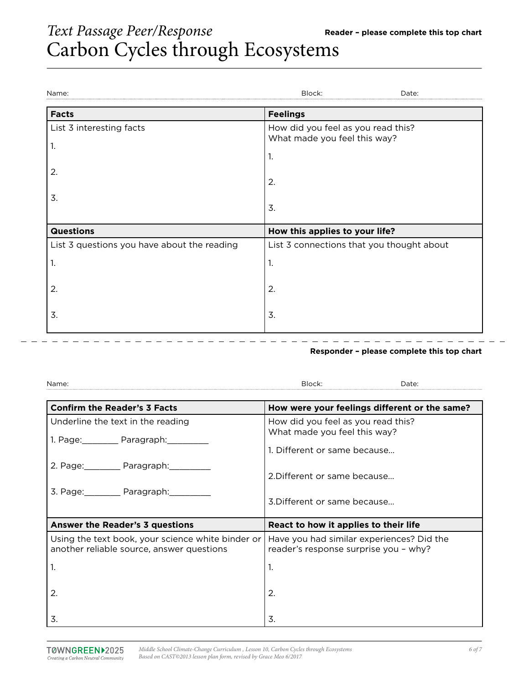# *Text Passage Peer/Response* Carbon Cycles through Ecosystems

| Name:                                       | Block:<br>Date:                                                          |
|---------------------------------------------|--------------------------------------------------------------------------|
| <b>Facts</b>                                | <b>Feelings</b>                                                          |
| List 3 interesting facts<br>1.              | How did you feel as you read this?<br>What made you feel this way?<br>1. |
| 2.                                          | 2.                                                                       |
| 3.                                          | 3.                                                                       |
| <b>Questions</b>                            | How this applies to your life?                                           |
| List 3 questions you have about the reading | List 3 connections that you thought about                                |
| 1.                                          | 1.                                                                       |
| 2.                                          | 2.                                                                       |
| 3.                                          | 3.                                                                       |

#### **Responder – please complete this top chart**

| Name: | Block: | -<br>Date:<br>. |
|-------|--------|-----------------|
|       |        |                 |

| <b>Confirm the Reader's 3 Facts</b>                                                            | How were your feelings different or the same?                                      |
|------------------------------------------------------------------------------------------------|------------------------------------------------------------------------------------|
| Underline the text in the reading                                                              | How did you feel as you read this?                                                 |
| 1. Page: _________ Paragraph: ____                                                             | What made you feel this way?                                                       |
|                                                                                                | 1. Different or same because                                                       |
| 2. Page: Paragraph:                                                                            | 2. Different or same because                                                       |
|                                                                                                |                                                                                    |
| 3. Page: Paragraph: 7. Page:                                                                   | 3. Different or same because                                                       |
|                                                                                                |                                                                                    |
| Answer the Reader's 3 questions                                                                | React to how it applies to their life                                              |
| Using the text book, your science white binder or<br>another reliable source, answer questions | Have you had similar experiences? Did the<br>reader's response surprise you - why? |
| 1.                                                                                             | 1.                                                                                 |
| 2.                                                                                             | 2.                                                                                 |
| 3.                                                                                             | 3.                                                                                 |